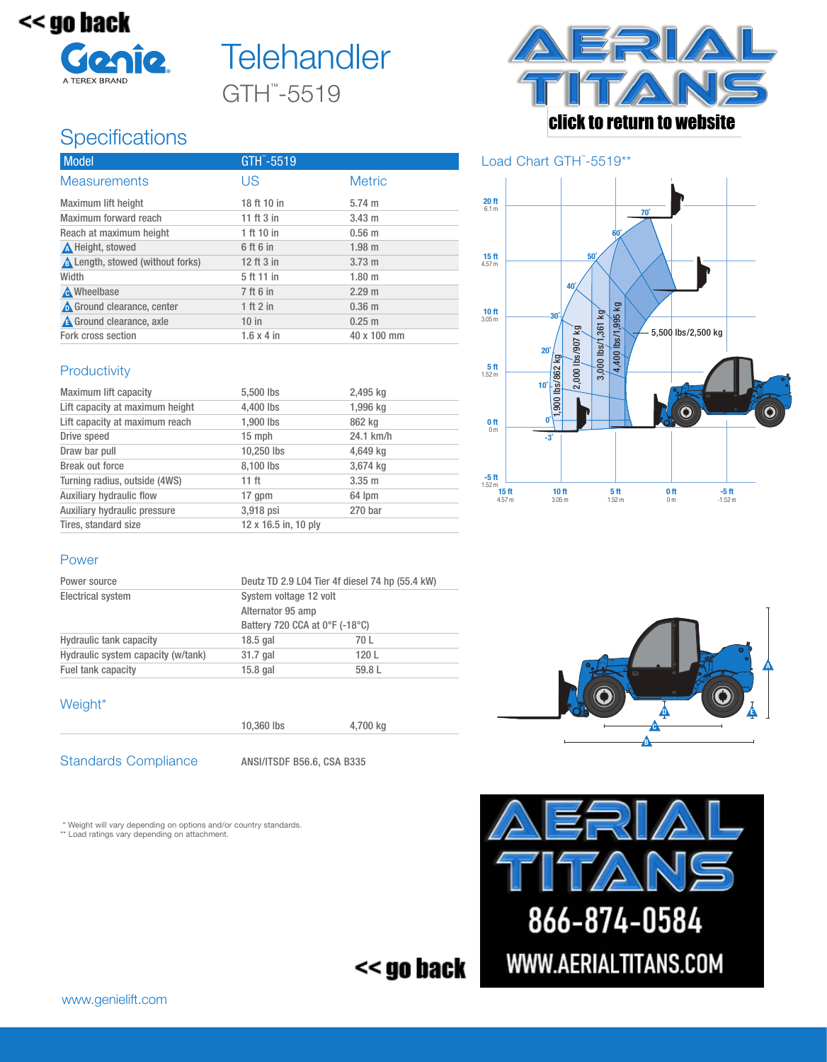

# GTH™ -5519 **Telehandler**

## **Specifications**

| Model                                   | GTH -5519         |                   |
|-----------------------------------------|-------------------|-------------------|
| <b>Measurements</b>                     | US                | <b>Metric</b>     |
| <b>Maximum lift height</b>              | 18 ft 10 in       | $5.74 \text{ m}$  |
| Maximum forward reach                   | 11 ft 3 in        | $3.43 \text{ m}$  |
| Reach at maximum height                 | 1 ft 10 in        | $0.56$ m          |
| A Height, stowed                        | 6 ft 6 in         | $1.98$ m          |
| <b>A</b> Length, stowed (without forks) | 12 ft 3 in        | $3.73 \text{ m}$  |
| Width                                   | 5 ft 11 in        | 1.80 <sub>m</sub> |
| <b>A</b> Wheelbase                      | 7 ft 6 in         | 2.29 m            |
| Ground clearance, center                | 1 ft 2 in         | $0.36$ m          |
| <b>A</b> Ground clearance, axle         | $10$ in           | $0.25 \; m$       |
| Fork cross section                      | $1.6 \times 4$ in | 40 x 100 mm       |

#### **Productivity**

| Maximum lift capacity           | 5,500 lbs            | 2,495 kg    |
|---------------------------------|----------------------|-------------|
| Lift capacity at maximum height | 4,400 lbs            | 1,996 kg    |
| Lift capacity at maximum reach  | 1,900 lbs            | 862 kg      |
| Drive speed                     | 15 mph               | 24.1 km/h   |
| Draw bar pull                   | 10.250 lbs           | 4,649 kg    |
| Break out force                 | 8,100 lbs            | 3,674 kg    |
| Turning radius, outside (4WS)   | 11 ft                | $3.35 \; m$ |
| Auxiliary hydraulic flow        | 17 qpm               | 64 lpm      |
| Auxiliary hydraulic pressure    | 3,918 psi            | 270 bar     |
| Tires, standard size            | 12 x 16.5 in, 10 ply |             |



#### Load Chart GTH™-5519\*\*



#### Power

| Power source                       |                                | Deutz TD 2.9 L04 Tier 4f diesel 74 hp (55.4 kW) |  |
|------------------------------------|--------------------------------|-------------------------------------------------|--|
| <b>Electrical system</b>           | System voltage 12 volt         |                                                 |  |
|                                    | Alternator 95 amp              |                                                 |  |
|                                    | Battery 720 CCA at 0°F (-18°C) |                                                 |  |
| <b>Hydraulic tank capacity</b>     | $18.5$ gal                     | 70 L                                            |  |
| Hydraulic system capacity (w/tank) | 31.7 gal                       | 120L                                            |  |
| Fuel tank capacity                 | $15.8$ gal                     | 59.8 L                                          |  |

#### Weight\*



10,360 lbs 4,700 kg

Standards Compliance ANSI/ITSDF B56.6, CSA B335

\* Weight will vary depending on options and/or country standards.

\*\* Load ratings vary depending on attachment.





<< go back